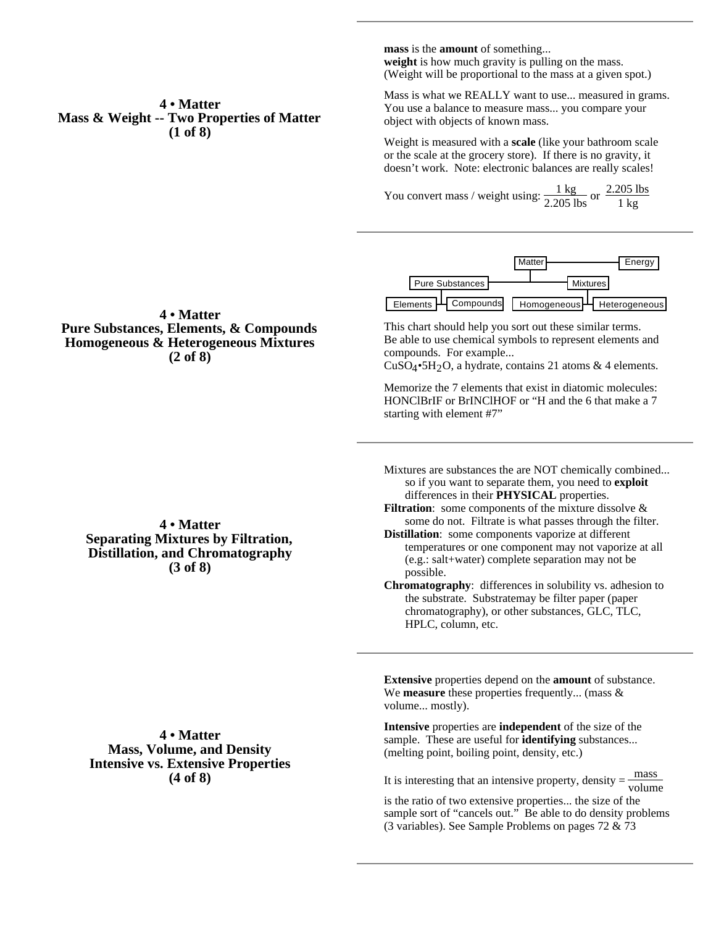**mass** is the **amount** of something... **weight** is how much gravity is pulling on the mass. (Weight will be proportional to the mass at a given spot.)

Mass is what we REALLY want to use... measured in grams. You use a balance to measure mass... you compare your object with objects of known mass.

Weight is measured with a **scale** (like your bathroom scale or the scale at the grocery store). If there is no gravity, it doesn't work. Note: electronic balances are really scales!

You convert mass / weight using:  $\frac{1 \text{ kg}}{2.205 \text{ lbs}}$  or  $\frac{2.205 \text{ lbs}}{1 \text{ kg}}$ 1 kg



This chart should help you sort out these similar terms. Be able to use chemical symbols to represent elements and compounds. For example...

 $CuSO<sub>4</sub>•5H<sub>2</sub>O$ , a hydrate, contains 21 atoms & 4 elements.

Memorize the 7 elements that exist in diatomic molecules: HONClBrIF or BrINClHOF or "H and the 6 that make a 7 starting with element #7"

- Mixtures are substances the are NOT chemically combined... so if you want to separate them, you need to **exploit** differences in their **PHYSICAL** properties.
- Filtration: some components of the mixture dissolve & some do not. Filtrate is what passes through the filter.
- **Distillation**: some components vaporize at different temperatures or one component may not vaporize at all (e.g.: salt+water) complete separation may not be possible.
- **Chromatography**: differences in solubility vs. adhesion to the substrate. Substratemay be filter paper (paper chromatography), or other substances, GLC, TLC, HPLC, column, etc.

**Extensive** properties depend on the **amount** of substance. We **measure** these properties frequently... (mass & volume... mostly).

**Intensive** properties are **independent** of the size of the sample. These are useful for **identifying** substances... (melting point, boiling point, density, etc.)

It is interesting that an intensive property, density  $=$   $\frac{\text{mass}}{\text{volume}}$ 

is the ratio of two extensive properties... the size of the sample sort of "cancels out." Be able to do density problems (3 variables). See Sample Problems on pages 72 & 73

**4 • Matter Mass & Weight -- Two Properties of Matter (1 of 8)**

## **4 • Matter Pure Substances, Elements, & Compounds Homogeneous & Heterogeneous Mixtures (2 of 8)**

**4 • Matter Separating Mixtures by Filtration, Distillation, and Chromatography (3 of 8)**

**4 • Matter Mass, Volume, and Density Intensive vs. Extensive Properties (4 of 8)**